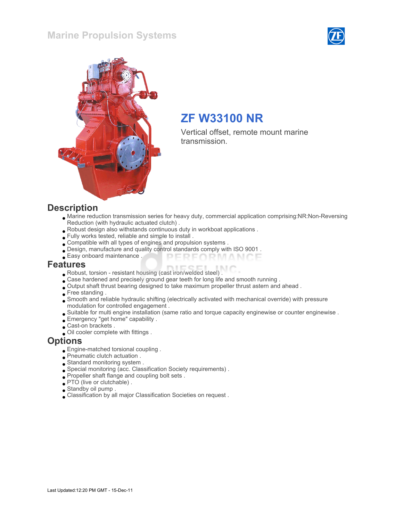## Marine Propulsion Systems





# ZF W33100 NR

Vertical offset, remote mount marine transmission.

#### **Description**

- Marine reduction transmission series for heavy duty, commercial application comprising:NR:Non-Reversing Reduction (with hydraulic actuated clutch) .
- Robust design also withstands continuous duty in workboat applications .
- Fully works tested, reliable and simple to install .
- Compatible with all types of engines and propulsion systems .
- Design, manufacture and quality control standards comply with ISO 9001 .
- Easy onboard maintenance . PERFORMANCE

#### Features

- Robust, torsion resistant housing (cast iron/welded steel) .
- Case hardened and precisely ground gear teeth for long life and smooth running .
- Output shaft thrust bearing designed to take maximum propeller thrust astern and ahead .
- Free standing.
- Smooth and reliable hydraulic shifting (electrically activated with mechanical override) with pressure modulation for controlled engagement .
- Suitable for multi engine installation (same ratio and torque capacity enginewise or counter enginewise .
- Emergency "get home" capability .
- Cast-on brackets .
- Oil cooler complete with fittings .

#### **Options**

- Engine-matched torsional coupling .
- Pneumatic clutch actuation .
- Standard monitoring system .
- Special monitoring (acc. Classification Society requirements) .
- Propeller shaft flange and coupling bolt sets .
- PTO (live or clutchable).
- Standby oil pump .
- Classification by all major Classification Societies on request .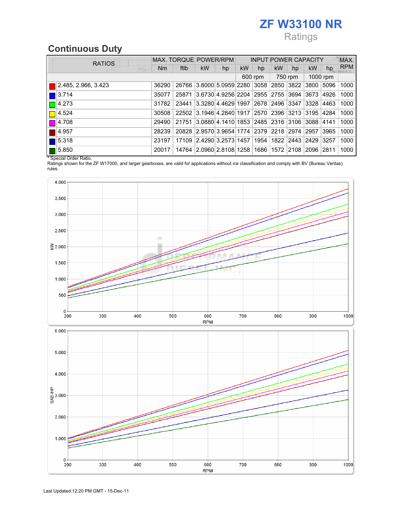# ZF W33100 NR

# Ratings

# Continuous Duty

| <b>RATIOS</b>        |         |       | MAX. TORQUE POWER/RPM                             |    | <b>INPUT POWER CAPACITY</b> |    |    |    |      |      | MAX.       |
|----------------------|---------|-------|---------------------------------------------------|----|-----------------------------|----|----|----|------|------|------------|
| 陈家                   | Nm      | ftlb  | kW                                                | hp | kW                          | hp | kW | hp | kW   | hp   | <b>RPM</b> |
|                      | 600 rpm |       | 750 rpm                                           |    | 1000 rpm                    |    |    |    |      |      |            |
| 2.485, 2.966, 3.423  | 36290   |       | 26766 3.8000 5.0959 2280 3058 2850 3822 3800      |    |                             |    |    |    |      | 5096 | 1000       |
| 3.714                | 35077   | 25871 | 3.6730 4.9256 2204 2955 2755 3694                 |    |                             |    |    |    | 3673 | 4926 | 1000       |
| $\blacksquare$ 4.273 | 31782   | 23441 | 3.3280 4.4629 1997 2678 2496 3347 3328            |    |                             |    |    |    |      | 4463 | 1000       |
| 4.524                | 30508   |       | 22502 3.1946 4.2840 1917 2570 2396 3213 3195      |    |                             |    |    |    |      | 4284 | 1000       |
| 4.708                | 29490   |       | 21751 3.0880 4.1410 1853 2485 2316 3106 3088 4141 |    |                             |    |    |    |      |      | 1000       |
| 4.957                | 28239   |       | 20828 2.9570 3.9654 1774 2379 2218 2974 2957      |    |                             |    |    |    |      | 3965 | 1000       |
| 5.318                | 23197   | 17109 | 2.4290 3.2573 1457 1954 1822 2443 2429            |    |                             |    |    |    |      | 3257 | 1000       |
| 5.850                | 20017   |       | 14764 2.0960 2.8108 1258 1686 1572 2108 2096      |    |                             |    |    |    |      | 2811 | 1000       |

\* Special Order Ratio.

Ratings shown for the ZF W17000, and larger gearboxes, are valid for applications without ice classification and comply with BV (Bureau Veritas) rules.



700

800

600

**RPM** 

 $900$ 

1000

 $300\,$ 

400

500

 $0 + 200$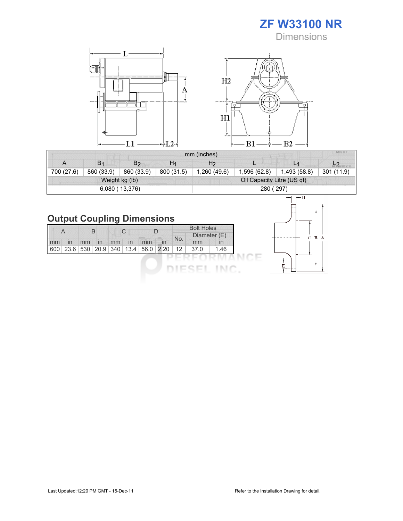ZF W33100 NR **Dimensions** 



|            |                |                |                | mm (inches)                | MIU X T      |                |            |  |  |  |
|------------|----------------|----------------|----------------|----------------------------|--------------|----------------|------------|--|--|--|
| A          | B <sub>1</sub> | B <sub>2</sub> | H <sub>1</sub> | H <sub>2</sub>             | −            | L <sub>1</sub> |            |  |  |  |
| 700 (27.6) | 860 (33.9)     | 860 (33.9)     | 800 (31.5)     | 1,260 (49.6)               | 1,596 (62.8) | 1,493 (58.8)   | 301 (11.9) |  |  |  |
|            |                | Weight kg (lb) |                | Oil Capacity Litre (US qt) |              |                |            |  |  |  |
|            |                | 6,080 (13,376) |                | 280 (297)                  |              |                |            |  |  |  |

# Output Coupling Dimensions

|    | A            | В  |    | C  |    |                                                    |              |     | <b>Bolt Holes</b><br>Diameter (E) |      |
|----|--------------|----|----|----|----|----------------------------------------------------|--------------|-----|-----------------------------------|------|
| mm | $\mathsf{I}$ | mm | In | mm | In | mm                                                 | $\mathsf{I}$ | No. | mm                                | ın   |
|    |              |    |    |    |    | 600   23.6   530   20.9   340   13.4   56.0   2.20 |              | 12  | 37.0                              | 1.46 |
|    |              |    |    |    |    |                                                    |              |     |                                   |      |
|    |              |    |    |    |    |                                                    |              |     |                                   |      |

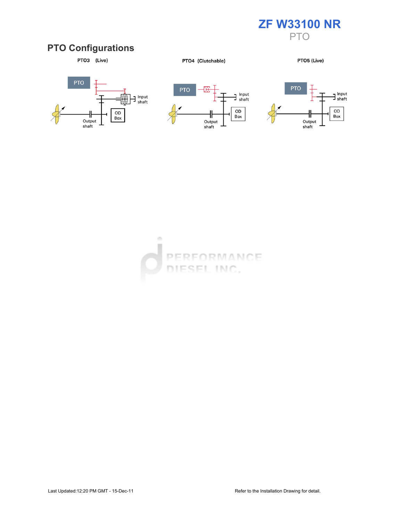

# PTO Configurations



PTO4 (Clutchable)

PTO5 (Live)